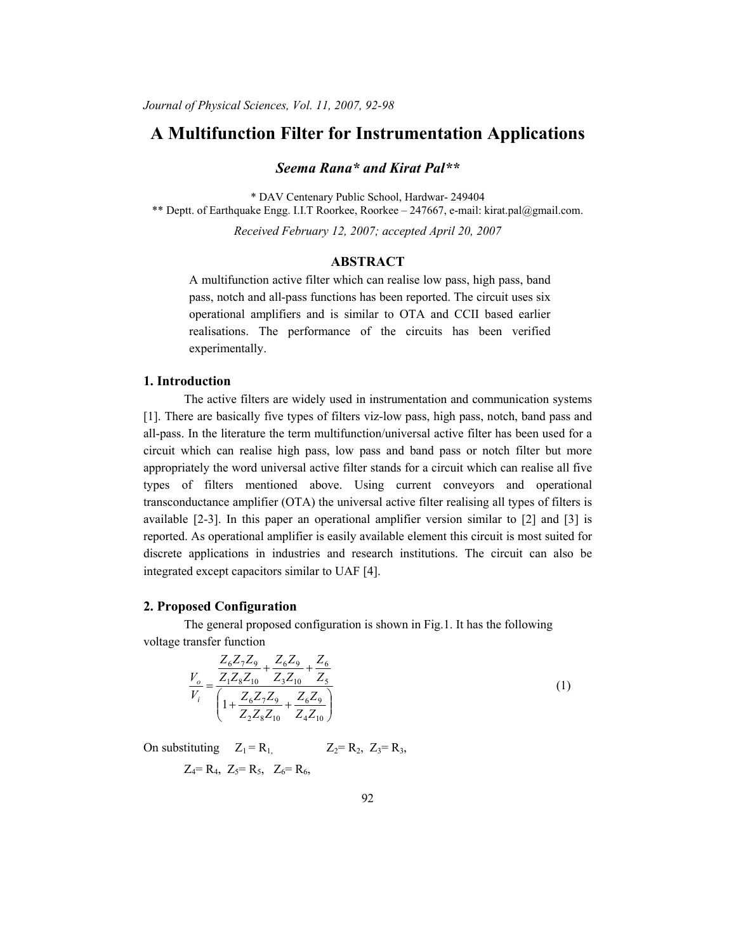# **A Multifunction Filter for Instrumentation Applications**

*Seema Rana\* and Kirat Pal\*\** 

\* DAV Centenary Public School, Hardwar- 249404 \*\* Deptt. of Earthquake Engg. I.I.T Roorkee, Roorkee – 247667, e-mail: kirat.pal@gmail.com.

*Received February 12, 2007; accepted April 20, 2007* 

## **ABSTRACT**

A multifunction active filter which can realise low pass, high pass, band pass, notch and all-pass functions has been reported. The circuit uses six operational amplifiers and is similar to OTA and CCII based earlier realisations. The performance of the circuits has been verified experimentally.

#### **1. Introduction**

The active filters are widely used in instrumentation and communication systems [1]. There are basically five types of filters viz-low pass, high pass, notch, band pass and all-pass. In the literature the term multifunction/universal active filter has been used for a circuit which can realise high pass, low pass and band pass or notch filter but more appropriately the word universal active filter stands for a circuit which can realise all five types of filters mentioned above. Using current conveyors and operational transconductance amplifier (OTA) the universal active filter realising all types of filters is available [2-3]. In this paper an operational amplifier version similar to [2] and [3] is reported. As operational amplifier is easily available element this circuit is most suited for discrete applications in industries and research institutions. The circuit can also be integrated except capacitors similar to UAF [4].

#### **2. Proposed Configuration**

 The general proposed configuration is shown in Fig.1. It has the following voltage transfer function

$$
\frac{V_o}{V_i} = \frac{\frac{Z_6 Z_7 Z_9}{Z_1 Z_8 Z_{10}} + \frac{Z_6 Z_9}{Z_3 Z_{10}} + \frac{Z_6}{Z_5}}{\left(1 + \frac{Z_6 Z_7 Z_9}{Z_2 Z_8 Z_{10}} + \frac{Z_6 Z_9}{Z_4 Z_{10}}\right)}
$$
(1)

On substituting  $Z_1 = R_1$ ,  $Z_2 = R_2$ ,  $Z_3 = R_3$ ,  $Z_4$ = R<sub>4</sub>,  $Z_5$ = R<sub>5</sub>,  $Z_6$ = R<sub>6</sub>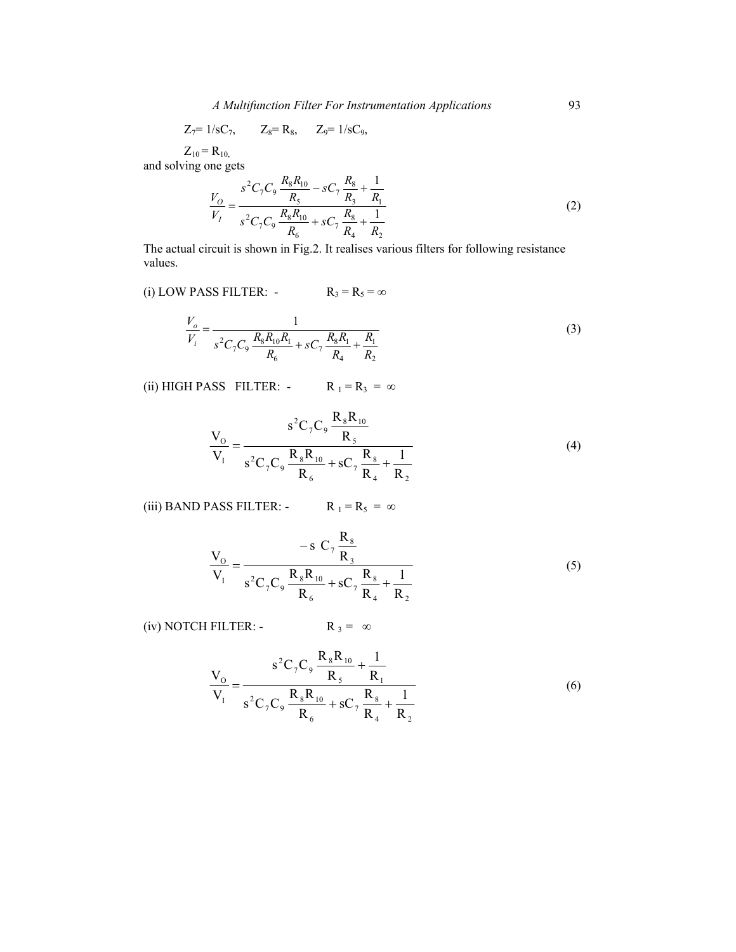*A Multifunction Filter For Instrumentation Applications* 93

$$
Z_7=1/sC_7
$$
,  $Z_8=R_8$ ,  $Z_9=1/sC_9$ ,

 $Z_{10} = R_{10}$ 

and solving one gets

$$
\frac{V_O}{V_I} = \frac{s^2 C_7 C_9 \frac{R_8 R_{10}}{R_5} - sC_7 \frac{R_8}{R_3} + \frac{1}{R_1}}{s^2 C_7 C_9 \frac{R_8 R_{10}}{R_6} + sC_7 \frac{R_8}{R_4} + \frac{1}{R_2}}
$$
\n(2)

The actual circuit is shown in Fig.2. It realises various filters for following resistance values.

(i) LOW PASS FILTER: -  $R_3 = R_5 = \infty$ 

$$
\frac{V_o}{V_i} = \frac{1}{s^2 C_7 C_9 \frac{R_8 R_{10} R_1}{R_6} + sC_7 \frac{R_8 R_1}{R_4} + \frac{R_1}{R_2}}
$$
(3)

(ii) HIGH PASS FILTER: -  $R_1 = R_3 = \infty$ 

$$
\frac{V_{\rm o}}{V_{\rm I}} = \frac{s^2 C_7 C_9 \frac{R_8 R_{10}}{R_5}}{s^2 C_7 C_9 \frac{R_8 R_{10}}{R_6} + s C_7 \frac{R_8}{R_4} + \frac{1}{R_2}}
$$
(4)

(iii) BAND PASS FILTER: -  $R_1 = R_5 = \infty$ 

$$
\frac{V_{\rm o}}{V_{\rm I}} = \frac{-\,\mathrm{s}\,C_{7}\,\frac{R_{\rm s}}{R_{\rm 3}}}{\,\mathrm{s}^{2}C_{7}C_{9}\,\frac{R_{8}R_{10}}{R_{6}} + \mathrm{s}C_{7}\,\frac{R_{8}}{R_{4}} + \frac{1}{R_{2}}}\tag{5}
$$

(iv) NOTCH FILTER: - R  $_3 = \infty$ 

$$
\frac{V_{O}}{V_{I}} = \frac{s^{2}C_{7}C_{9} \frac{R_{8}R_{10}}{R_{5}} + \frac{1}{R_{1}}}{s^{2}C_{7}C_{9} \frac{R_{8}R_{10}}{R_{6}} + sC_{7} \frac{R_{8}}{R_{4}} + \frac{1}{R_{2}}}
$$
(6)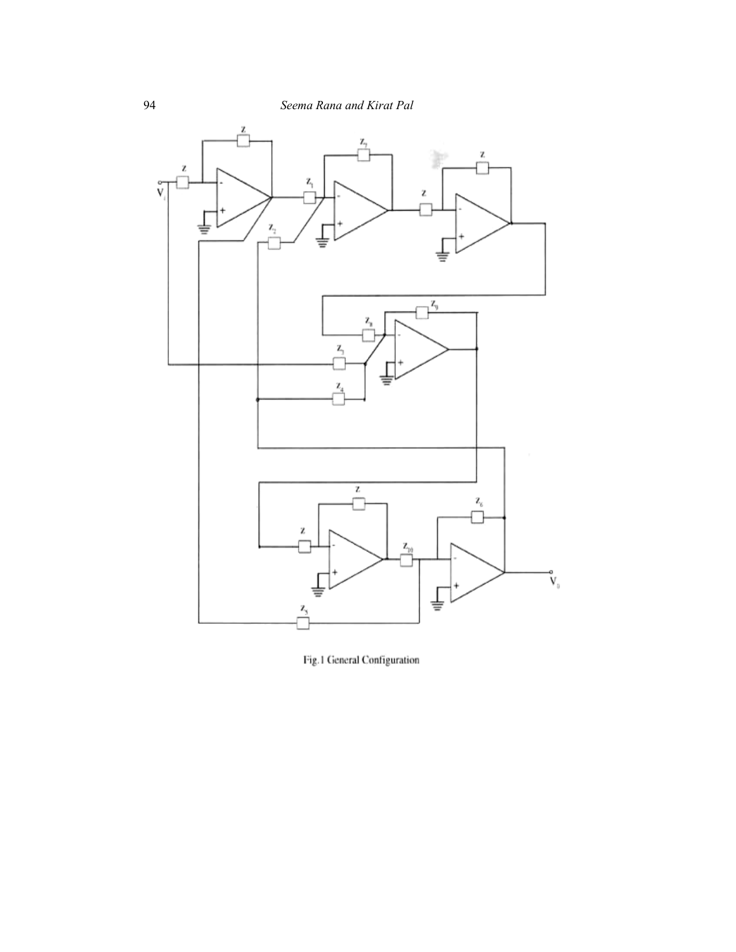

Fig.1 General Configuration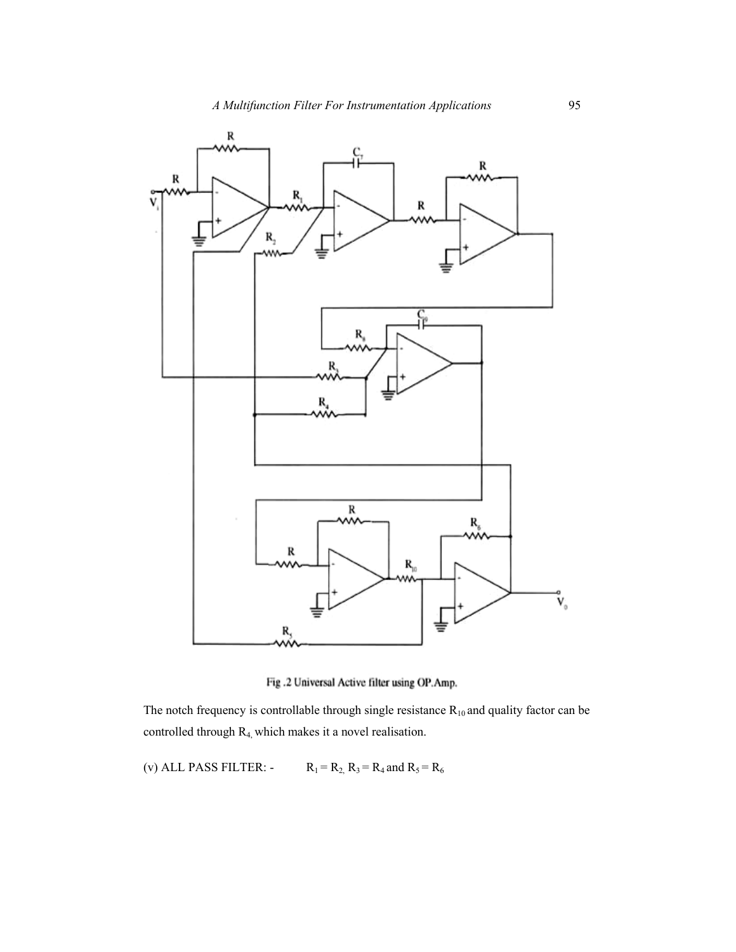

Fig.2 Universal Active filter using OP.Amp.

The notch frequency is controllable through single resistance  $R_{10}$  and quality factor can be controlled through R4, which makes it a novel realisation.

(v) ALL PASS FILTER:  $-R_1 = R_2$ ,  $R_3 = R_4$  and  $R_5 = R_6$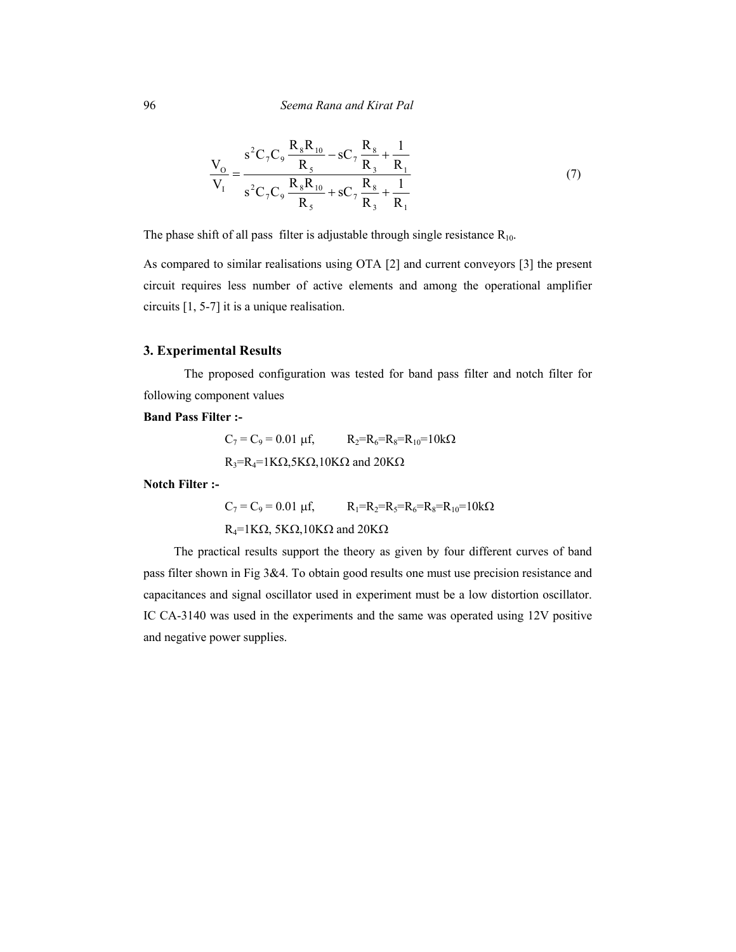$$
\frac{V_{O}}{V_{I}} = \frac{s^{2}C_{7}C_{9}\frac{R_{8}R_{10}}{R_{5}} - sC_{7}\frac{R_{8}}{R_{3}} + \frac{1}{R_{1}}}{s^{2}C_{7}C_{9}\frac{R_{8}R_{10}}{R_{5}} + sC_{7}\frac{R_{8}}{R_{3}} + \frac{1}{R_{1}}}
$$
(7)

The phase shift of all pass filter is adjustable through single resistance  $R_{10}$ .

As compared to similar realisations using OTA [2] and current conveyors [3] the present circuit requires less number of active elements and among the operational amplifier circuits [1, 5-7] it is a unique realisation.

#### **3. Experimental Results**

 The proposed configuration was tested for band pass filter and notch filter for following component values

## **Band Pass Filter :-**

$$
C_7 = C_9 = 0.01 \text{ µf}, \qquad R_2 = R_6 = R_8 = R_{10} = 10 \text{k}\Omega
$$
  
R<sub>3</sub>=R<sub>4</sub>=1K $\Omega$ ,5K $\Omega$ ,10K $\Omega$  and 20K $\Omega$ 

**Notch Filter :-** 

 $C_7 = C_9 = 0.01 \text{ µf},$   $R_1 = R_2 = R_5 = R_6 = R_8 = R_{10} = 10 \text{k}\Omega$ R<sub>4</sub>=1KΩ, 5KΩ, 10KΩ and 20KΩ

 The practical results support the theory as given by four different curves of band pass filter shown in Fig 3&4. To obtain good results one must use precision resistance and capacitances and signal oscillator used in experiment must be a low distortion oscillator. IC CA-3140 was used in the experiments and the same was operated using 12V positive and negative power supplies.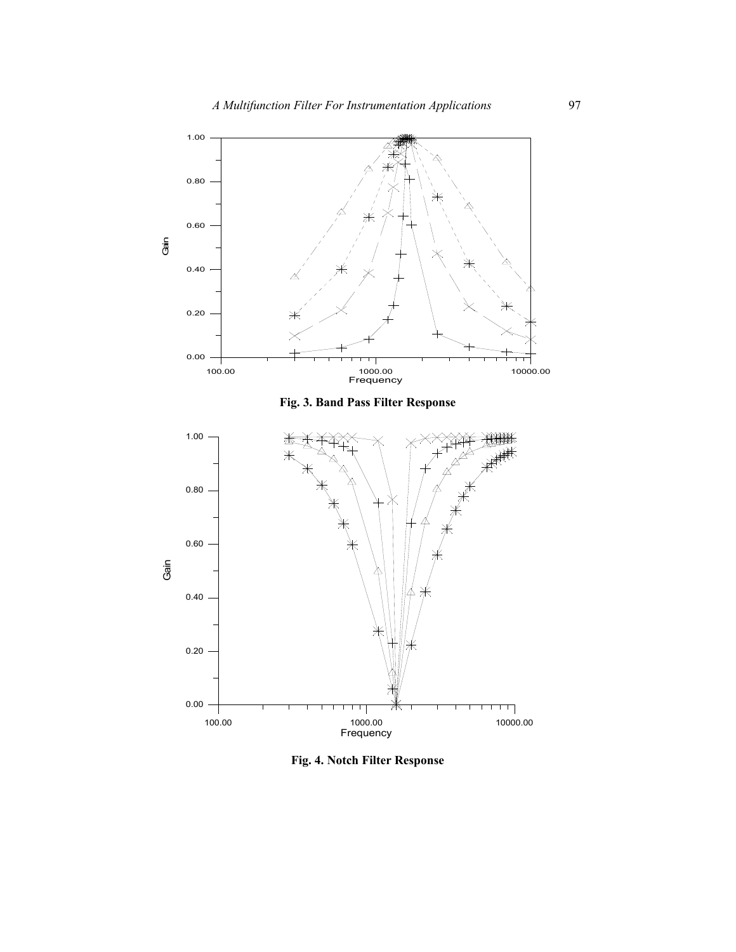

**Fig. 4. Notch Filter Response**